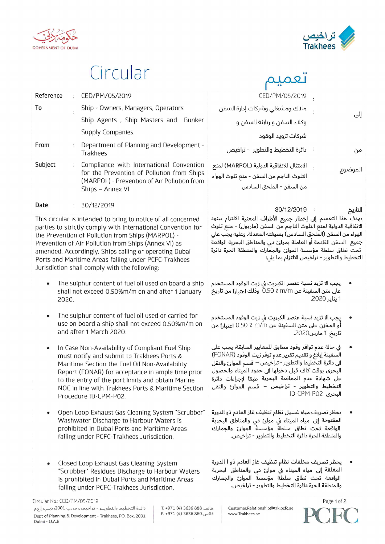



# Circular

| Reference | CED/PM/05/2019                                                                                                                                                                                                                    | CED/PM/05/2019                                                                                                   |
|-----------|-----------------------------------------------------------------------------------------------------------------------------------------------------------------------------------------------------------------------------------|------------------------------------------------------------------------------------------------------------------|
| To        | Ship - Owners, Managers, Operators                                                                                                                                                                                                | ملاك ومشغلي وشركات إدارة السفن                                                                                   |
|           | Ship Agents, Ship Masters and Bunker                                                                                                                                                                                              | وكلاء السفن و ربابنة السفن و                                                                                     |
|           | Supply Companies.                                                                                                                                                                                                                 | شركات تزويد الوقود                                                                                               |
| From      | Department of Planning and Development -<br><b>Trakhees</b>                                                                                                                                                                       | دائرة التخطيط والتطوير - تراخيص                                                                                  |
| Subject   | Compliance with International Convention<br>for the Prevention of Pollution from Ships<br>(MARPOL) - Prevention of Air Pollution from<br>Ships - Annex VI                                                                         | الامتثال للاتفاقية الدولية (MARPOL) لمنع<br>التلوث الناجم من السفن - منع تلوث الهواء<br>من السفن - الملحق السادس |
| Date      | 30/12/2019                                                                                                                                                                                                                        | 30/12/2019                                                                                                       |
|           | $\mathbf{m}$ , and a set of the set of the set of the set of the set of the set of the set of the set of the set of the set of the set of the set of the set of the set of the set of the set of the set of the set of the set of | ીન્સસીટર મેં ડેરી ઉપરાંત મારા<br>the control of the control of                                                   |

This circular is intended to bring to notice of all concerned parties to strictly comply with International Convention for the Prevention of Pollution from Ships (MARPOL) -Prevention of Air Pollution from Ships (Annex VI) as amended. Accordingly, Ships calling or operating Dubai Ports and Maritime Areas falling under PCFC-Trakhees Jurisdiction shall comply with the following:

- The sulphur content of fuel oil used on board a ship shall not exceed 0.50%m/m on and after 1 January 2020.
- The sulphur content of fuel oil used or carried for use on board a ship shall not exceed 0.50%m/m on and after 1 March 2020.
- In Case Non-Availability of Compliant Fuel Ship must notify and submit to Trakhees Ports & Maritime Section the Fuel Oil Non-Availability Report (FONAR) for acceptance in ample time prior to the entry of the port limits and obtain Marine NOC in line with Trakhees Ports & Maritime Section Procedure ID-CPM-P02.
- Open Loop Exhaust Gas Cleaning System "Scrubber" Washwater Discharge to Harbour Waters is prohibited in Dubai Ports and Maritime Areas falling under PCFC-Trakhees Jurisdiction.
- Closed Loop Exhaust Gas Cleaning System "Scrubber" Residues Discharge to Harbour Waters is prohibited in Dubai Ports and Maritime Areas falling under PCFC-Trakhees Jurisdiction.

Circular No.: CED/PM/05/2019

دائرة التخطيط والتطويــر - تراخيص، ص.ب 2001، دبـي، إ.ع.م Dept of Planning & Development - Trakhees, PO. Box, 2001 Dubai - U.A.E

T. +971 (4) 3636 888. فاكس. 168 3636 (4) F. +971

 $\ddot{\phantom{0}}$ إلى Ì. من الموضوع

التاريخ

يهدف هذا التعميم إلى إخطار جميع الأطراف المعنية الالتزام ببنود الاتفاقية الدولية لمنع التلوث الناجم من السفن (ماربول) - منع تلوث الهواء من السفن (الملحق السادس) بصيغته المعدلة. وعليه يجب على جميع ِ السفن القادمة أو العاملة بموانئ دي والمناطق البحرية الواقعة تحت نطاق سلطة مؤسسة الموانئ والجمارك والمنطقة الحرة دائرة التخطيط والتطوير - تراخيص الالتزام بما يلي:

- يجب الا تزيد نسبة عنصر الكبريت في زيت الوقود المستخدم على متن السفينة عن M/m .? 0.50 وذلك اعتباراً من تاريخ 1 بناير 2020.
- يجب الا تزيد نسبة عنصر الكبريت في زيت الوقود المستخدم أو المخزن على متن السفينة عن M/m . 0.50 اعتبارًا من تاريخ 1 مارس2020.
- في حالة عدم توافر وقود مطابق للمعايير السابقة، يجب على السفينة إبلاغ و تقديم تقرير عدم توفر زيت الوقود (FONAR) ابي دائرة التخَطيط والتطوير - تراخيص — قسم الموانئ والنقل البحري بوقت كاف قبل دخولها الى حدود الميناء والحصول عل شهادة عدم الممانعة البحرية طبقاً لإجراءات دائرة التخطيط والتطوير - تراخيص – قسم الموانئ والنقل **ID-CPM-PO2** البحرى
- يحظر تصريف مياه غسيل نظام تنظيف غاز العادم ذو الدورة المفتوحة إلى مياه الميناء في موانئ دي والمناطق البحرية الواقعة تحت نطاق سلطة مؤسسة الموانئ والجمارك والمنطقة الحرة دائرة التخطيط والتطوير - تراخيص.
- يحظر تصريف مخلفات نظام تنظيف غاز العادم ذو ا الدورة المغلقة إلى مياه الميناء في مواز دي والمناطق البحرية الواقعة تحت نطاق سلطة مؤسسة الموانئ والجمارك والمنطقة الحرة دائرة التخطيط والتطوير - تراخيص.



Customer.Relationship@trk.pcfc.ae www.Trakhees.ae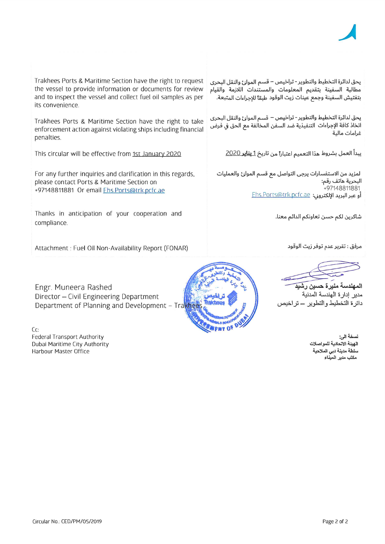Page 2 of 2

Circular No.: CED/PM/05/2019

Trakhees Ports & Maritime Section have the right to request the vessel to provide information or documents for review and to inspect the vessel and collect fuel oil samples as per its convenience.

Trakhees Ports & Maritime Section have the right to take enforcement action against violating ships including financial penalties.

This circular will be effective from 1st January 2020

For any further inquiries and clarification in this regards, please contact Ports & Maritime Section on +97148811881 Or email Ehs.Ports@trk.pcfc.ae

Thanks in anticipation of your cooperation and compliance.

Attachment : Fuel Oil Non-Availability Report (FONAR)

Engr. Muneera Rashed Director - Civil Engineering Department Department of Planning and Development - Trakhees

 $Cc$ **Federal Transport Authority** Dubai Maritime City Authority Harbour Master Office

يحق لدائرة التخطيط والتطوير - تراخيص – قسم الموانئ والنقل البحري مطالبة السفينة بتقديم المعلومات والمستندات اللازمة والقيام بتفتيش السفينة وجمع عينات زيت الوقود طبقاً للاحراءات المتبعة.

يحق لدائرة التخطيط والتطوير - تراخيص – قسم الموانئ والنقل البحري اتخاذ كافة الإجراءات التنفيذية ضد السفن المخالفة مع الحق في فرض غرامات مالية

يبدأ العمل بشروط هذا التعميم اعتباراً من تاريخ <u>1 **يناير** 2020</u>

لمزيد من الاستفسارات يرجى التواصل مع قسم الموانئ والعمليات البحرية هاتف رقم: +97148811881 أو عبر البريد الإلكترون: Ehs.Ports@trk.pcfc.ae

شاكرين لكم حسن تعاونكم الدائم معنا.

مرفق : تقرير عدم توفر زيت الوقود

المهندسة منيرة حسين رشَبِدَ مدير إدارة الهندسة المدنية دائرة التخطيط والتطوير – تراخيص

نسخة الى: الهينة الاتحادية للمواصلات سلطة مدينة دبى الملاحية مكتب مدير الميناء

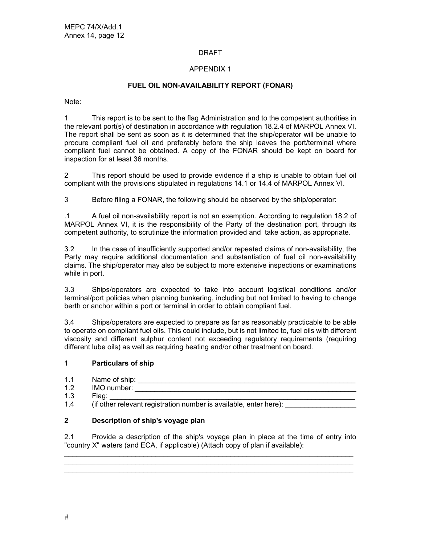#### DRAFT

#### APPENDIX 1

## **FUEL OIL NON-AVAILABILITY REPORT (FONAR)**

Note:

1 This report is to be sent to the flag Administration and to the competent authorities in the relevant port(s) of destination in accordance with regulation 18.2.4 of MARPOL Annex VI. The report shall be sent as soon as it is determined that the ship/operator will be unable to procure compliant fuel oil and preferably before the ship leaves the port/terminal where compliant fuel cannot be obtained. A copy of the FONAR should be kept on board for inspection for at least 36 months.

2 This report should be used to provide evidence if a ship is unable to obtain fuel oil compliant with the provisions stipulated in regulations 14.1 or 14.4 of MARPOL Annex VI.

3 Before filing a FONAR, the following should be observed by the ship/operator:

.1 A fuel oil non-availability report is not an exemption. According to regulation 18.2 of MARPOL Annex VI, it is the responsibility of the Party of the destination port, through its competent authority, to scrutinize the information provided and take action, as appropriate.

3.2 In the case of insufficiently supported and/or repeated claims of non-availability, the Party may require additional documentation and substantiation of fuel oil non-availability claims. The ship/operator may also be subject to more extensive inspections or examinations while in port.

3.3 Ships/operators are expected to take into account logistical conditions and/or terminal/port policies when planning bunkering, including but not limited to having to change berth or anchor within a port or terminal in order to obtain compliant fuel.

3.4 Ships/operators are expected to prepare as far as reasonably practicable to be able to operate on compliant fuel oils. This could include, but is not limited to, fuel oils with different viscosity and different sulphur content not exceeding regulatory requirements (requiring different lube oils) as well as requiring heating and/or other treatment on board.

#### **1 Particulars of ship**

- 1.1 Name of ship: \_\_\_\_\_\_\_\_\_\_\_\_\_\_\_\_\_\_\_\_\_\_\_\_\_\_\_\_\_\_\_\_\_\_\_\_\_\_\_\_\_\_\_\_\_\_\_\_\_\_\_\_\_\_\_
- 1.2 IMO number: \_\_\_\_\_\_\_\_\_\_\_\_\_\_\_\_\_\_\_\_\_\_\_\_\_\_\_\_\_\_\_\_\_\_\_\_\_\_\_\_\_\_\_\_\_\_\_\_\_\_\_\_\_\_\_\_
- 1.3 Flag: \_\_\_\_\_\_\_\_\_\_\_\_\_\_\_\_\_\_\_\_\_\_\_\_\_\_\_\_\_\_\_\_\_\_\_\_\_\_\_\_\_\_\_\_\_\_\_\_\_\_\_\_\_\_\_\_\_\_\_\_\_\_

1.4 (if other relevant registration number is available, enter here):

# **2 Description of ship's voyage plan**

2.1 Provide a description of the ship's voyage plan in place at the time of entry into "country X" waters (and ECA, if applicable) (Attach copy of plan if available):

 $\_$  . The contribution of the contribution of the contribution of the contribution of  $\mathcal{L}_1$  $\mathcal{L}_\mathcal{L} = \{ \mathcal{L}_\mathcal{L} = \{ \mathcal{L}_\mathcal{L} = \{ \mathcal{L}_\mathcal{L} = \{ \mathcal{L}_\mathcal{L} = \{ \mathcal{L}_\mathcal{L} = \{ \mathcal{L}_\mathcal{L} = \{ \mathcal{L}_\mathcal{L} = \{ \mathcal{L}_\mathcal{L} = \{ \mathcal{L}_\mathcal{L} = \{ \mathcal{L}_\mathcal{L} = \{ \mathcal{L}_\mathcal{L} = \{ \mathcal{L}_\mathcal{L} = \{ \mathcal{L}_\mathcal{L} = \{ \mathcal{L}_\mathcal{$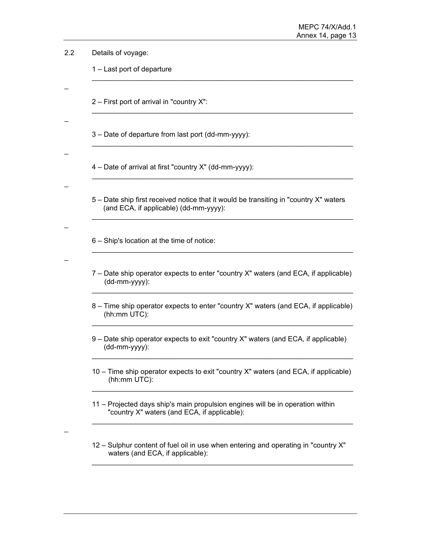| 2.2 | Details of voyage:                                                                                                              |  |  |  |  |  |
|-----|---------------------------------------------------------------------------------------------------------------------------------|--|--|--|--|--|
|     | 1 – Last port of departure                                                                                                      |  |  |  |  |  |
|     |                                                                                                                                 |  |  |  |  |  |
|     | 2 – First port of arrival in "country X":                                                                                       |  |  |  |  |  |
|     |                                                                                                                                 |  |  |  |  |  |
|     | 3 – Date of departure from last port (dd-mm-yyyy):                                                                              |  |  |  |  |  |
|     | 4 – Date of arrival at first "country X" (dd-mm-yyyy):                                                                          |  |  |  |  |  |
|     |                                                                                                                                 |  |  |  |  |  |
|     | 5 – Date ship first received notice that it would be transiting in "country X" waters<br>(and ECA, if applicable) (dd-mm-yyyy): |  |  |  |  |  |
|     |                                                                                                                                 |  |  |  |  |  |
|     | 6 - Ship's location at the time of notice:                                                                                      |  |  |  |  |  |
|     | 7 – Date ship operator expects to enter "country X" waters (and ECA, if applicable)<br>(dd-mm-yyyy):                            |  |  |  |  |  |
|     | 8 – Time ship operator expects to enter "country X" waters (and ECA, if applicable)<br>(hh:mm UTC):                             |  |  |  |  |  |
|     | 9 – Date ship operator expects to exit "country X" waters (and ECA, if applicable)<br>(dd-mm-yyyy):                             |  |  |  |  |  |
|     | 10 – Time ship operator expects to exit "country X" waters (and ECA, if applicable)<br>(hh:mm UTC):                             |  |  |  |  |  |
|     | 11 – Projected days ship's main propulsion engines will be in operation within<br>"country X" waters (and ECA, if applicable):  |  |  |  |  |  |
|     | 12 - Sulphur content of fuel oil in use when entering and operating in "country X"<br>waters (and ECA, if applicable):          |  |  |  |  |  |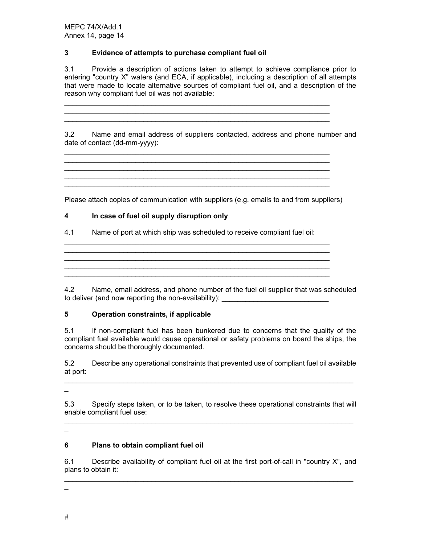# **3 Evidence of attempts to purchase compliant fuel oil**

3.1 Provide a description of actions taken to attempt to achieve compliance prior to entering "country X" waters (and ECA, if applicable), including a description of all attempts that were made to locate alternative sources of compliant fuel oil, and a description of the reason why compliant fuel oil was not available:

\_\_\_\_\_\_\_\_\_\_\_\_\_\_\_\_\_\_\_\_\_\_\_\_\_\_\_\_\_\_\_\_\_\_\_\_\_\_\_\_\_\_\_\_\_\_\_\_\_\_\_\_\_\_\_\_\_\_\_\_\_\_\_\_\_\_\_

 $\mathcal{L}_\mathcal{L}$  , and the set of the set of the set of the set of the set of the set of the set of the set of the set of the set of the set of the set of the set of the set of the set of the set of the set of the set of th

3.2 Name and email address of suppliers contacted, address and phone number and date of contact (dd-mm-yyyy):

\_\_\_\_\_\_\_\_\_\_\_\_\_\_\_\_\_\_\_\_\_\_\_\_\_\_\_\_\_\_\_\_\_\_\_\_\_\_\_\_\_\_\_\_\_\_\_\_\_\_\_\_\_\_\_\_\_\_\_\_\_\_\_\_\_\_\_

Please attach copies of communication with suppliers (e.g. emails to and from suppliers)

\_\_\_\_\_\_\_\_\_\_\_\_\_\_\_\_\_\_\_\_\_\_\_\_\_\_\_\_\_\_\_\_\_\_\_\_\_\_\_\_\_\_\_\_\_\_\_\_\_\_\_\_\_\_\_\_\_\_\_\_\_\_\_\_\_\_\_  $\mathcal{L}_\mathcal{L} = \mathcal{L}_\mathcal{L} = \mathcal{L}_\mathcal{L} = \mathcal{L}_\mathcal{L} = \mathcal{L}_\mathcal{L} = \mathcal{L}_\mathcal{L} = \mathcal{L}_\mathcal{L} = \mathcal{L}_\mathcal{L} = \mathcal{L}_\mathcal{L} = \mathcal{L}_\mathcal{L} = \mathcal{L}_\mathcal{L} = \mathcal{L}_\mathcal{L} = \mathcal{L}_\mathcal{L} = \mathcal{L}_\mathcal{L} = \mathcal{L}_\mathcal{L} = \mathcal{L}_\mathcal{L} = \mathcal{L}_\mathcal{L}$ 

## **4 In case of fuel oil supply disruption only**

4.1 Name of port at which ship was scheduled to receive compliant fuel oil:

\_\_\_\_\_\_\_\_\_\_\_\_\_\_\_\_\_\_\_\_\_\_\_\_\_\_\_\_\_\_\_\_\_\_\_\_\_\_\_\_\_\_\_\_\_\_\_\_\_\_\_\_\_\_\_\_\_\_\_\_\_\_\_\_\_\_\_

4.2 Name, email address, and phone number of the fuel oil supplier that was scheduled to deliver (and now reporting the non-availability):

#### **5 Operation constraints, if applicable**

5.1 If non-compliant fuel has been bunkered due to concerns that the quality of the compliant fuel available would cause operational or safety problems on board the ships, the concerns should be thoroughly documented.

5.2 Describe any operational constraints that prevented use of compliant fuel oil available at port:

 $\equiv$ 

5.3 Specify steps taken, or to be taken, to resolve these operational constraints that will enable compliant fuel use: \_\_\_\_\_\_\_\_\_\_\_\_\_\_\_\_\_\_\_\_\_\_\_\_\_\_\_\_\_\_\_\_\_\_\_\_\_\_\_\_\_\_\_\_\_\_\_\_\_\_\_\_\_\_\_\_\_\_\_\_\_\_\_\_\_\_\_\_\_\_\_\_\_

 $\overline{\phantom{0}}$ 

# **6 Plans to obtain compliant fuel oil**

6.1 Describe availability of compliant fuel oil at the first port-of-call in "country X", and plans to obtain it: \_\_\_\_\_\_\_\_\_\_\_\_\_\_\_\_\_\_\_\_\_\_\_\_\_\_\_\_\_\_\_\_\_\_\_\_\_\_\_\_\_\_\_\_\_\_\_\_\_\_\_\_\_\_\_\_\_\_\_\_\_\_\_\_\_\_\_\_\_\_\_\_\_

 $\overline{a}$